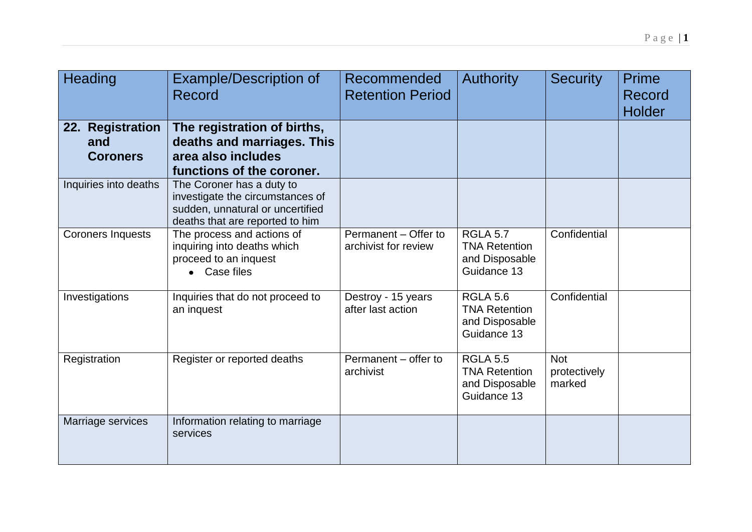| Heading                                    | <b>Example/Description of</b><br>Record                                                                                              | <b>Recommended</b><br><b>Retention Period</b> | <b>Authority</b>                                                         | <b>Security</b>                      | Prime<br>Record<br><b>Holder</b> |
|--------------------------------------------|--------------------------------------------------------------------------------------------------------------------------------------|-----------------------------------------------|--------------------------------------------------------------------------|--------------------------------------|----------------------------------|
| 22. Registration<br>and<br><b>Coroners</b> | The registration of births,<br>deaths and marriages. This<br>area also includes<br>functions of the coroner.                         |                                               |                                                                          |                                      |                                  |
| Inquiries into deaths                      | The Coroner has a duty to<br>investigate the circumstances of<br>sudden, unnatural or uncertified<br>deaths that are reported to him |                                               |                                                                          |                                      |                                  |
| <b>Coroners Inquests</b>                   | The process and actions of<br>inquiring into deaths which<br>proceed to an inquest<br>• Case files                                   | Permanent - Offer to<br>archivist for review  | <b>RGLA 5.7</b><br><b>TNA Retention</b><br>and Disposable<br>Guidance 13 | Confidential                         |                                  |
| Investigations                             | Inquiries that do not proceed to<br>an inquest                                                                                       | Destroy - 15 years<br>after last action       | <b>RGLA 5.6</b><br><b>TNA Retention</b><br>and Disposable<br>Guidance 13 | Confidential                         |                                  |
| Registration                               | Register or reported deaths                                                                                                          | Permanent - offer to<br>archivist             | <b>RGLA 5.5</b><br><b>TNA Retention</b><br>and Disposable<br>Guidance 13 | <b>Not</b><br>protectively<br>marked |                                  |
| Marriage services                          | Information relating to marriage<br>services                                                                                         |                                               |                                                                          |                                      |                                  |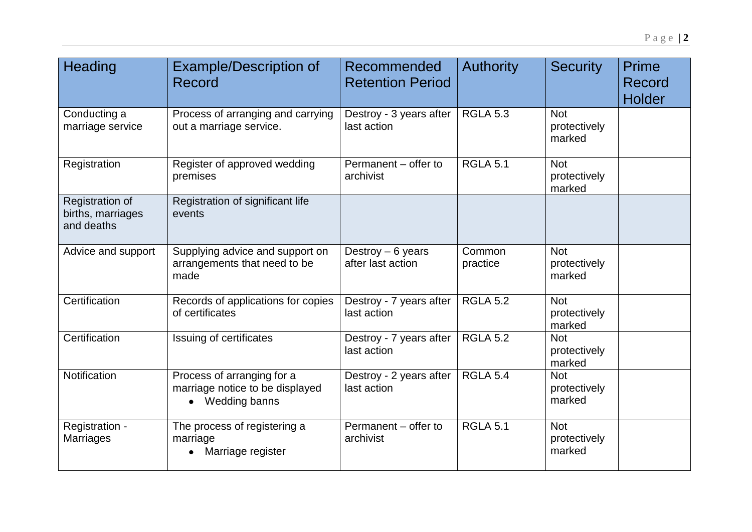| Heading                                            | <b>Example/Description of</b><br>Record                                          | Recommended<br><b>Retention Period</b>  | <b>Authority</b>   | <b>Security</b>                      | Prime<br>Record<br>Holder |
|----------------------------------------------------|----------------------------------------------------------------------------------|-----------------------------------------|--------------------|--------------------------------------|---------------------------|
| Conducting a<br>marriage service                   | Process of arranging and carrying<br>out a marriage service.                     | Destroy - 3 years after<br>last action  | <b>RGLA 5.3</b>    | <b>Not</b><br>protectively<br>marked |                           |
| Registration                                       | Register of approved wedding<br>premises                                         | Permanent - offer to<br>archivist       | <b>RGLA 5.1</b>    | <b>Not</b><br>protectively<br>marked |                           |
| Registration of<br>births, marriages<br>and deaths | Registration of significant life<br>events                                       |                                         |                    |                                      |                           |
| Advice and support                                 | Supplying advice and support on<br>arrangements that need to be<br>made          | Destroy $-6$ years<br>after last action | Common<br>practice | <b>Not</b><br>protectively<br>marked |                           |
| Certification                                      | Records of applications for copies<br>of certificates                            | Destroy - 7 years after<br>last action  | <b>RGLA 5.2</b>    | <b>Not</b><br>protectively<br>marked |                           |
| Certification                                      | Issuing of certificates                                                          | Destroy - 7 years after<br>last action  | <b>RGLA 5.2</b>    | <b>Not</b><br>protectively<br>marked |                           |
| <b>Notification</b>                                | Process of arranging for a<br>marriage notice to be displayed<br>• Wedding banns | Destroy - 2 years after<br>last action  | <b>RGLA 5.4</b>    | <b>Not</b><br>protectively<br>marked |                           |
| Registration -<br><b>Marriages</b>                 | The process of registering a<br>marriage<br>Marriage register                    | Permanent - offer to<br>archivist       | <b>RGLA 5.1</b>    | <b>Not</b><br>protectively<br>marked |                           |